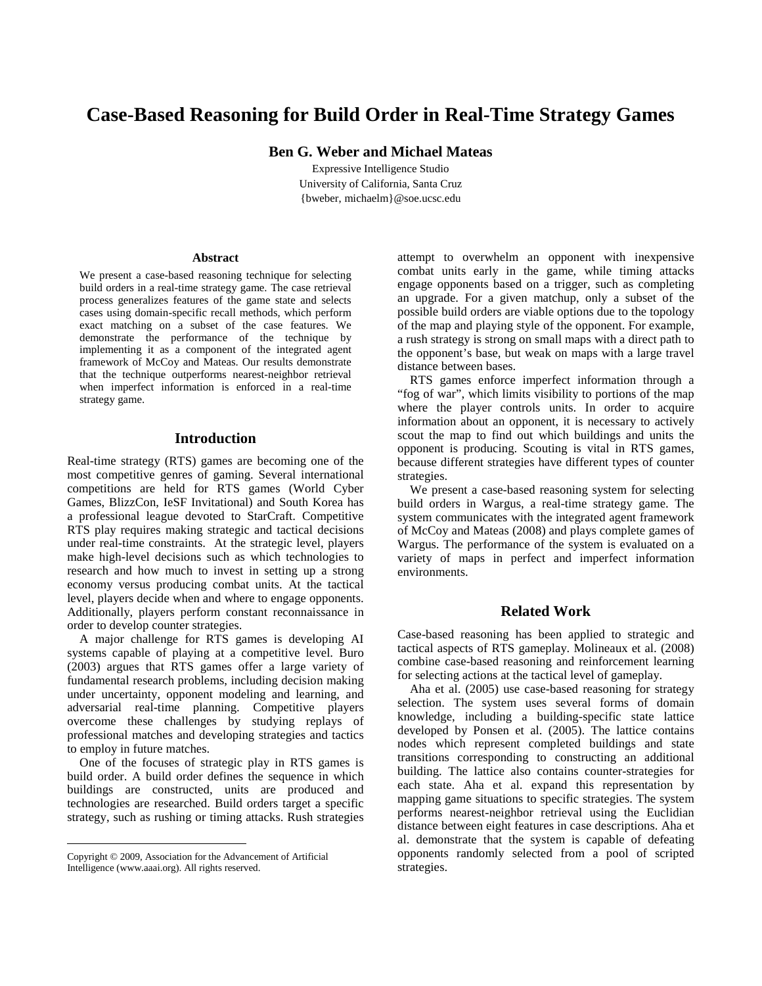# **Case-Based Reasoning for Build Order in Real-Time Strategy Games**

**Ben G. Weber and Michael Mateas** 

Expressive Intelligence Studio University of California, Santa Cruz {bweber, michaelm}@soe.ucsc.edu

#### **Abstract**

We present a case-based reasoning technique for selecting build orders in a real-time strategy game. The case retrieval process generalizes features of the game state and selects cases using domain-specific recall methods, which perform exact matching on a subset of the case features. We demonstrate the performance of the technique by implementing it as a component of the integrated agent framework of McCoy and Mateas. Our results demonstrate that the technique outperforms nearest-neighbor retrieval when imperfect information is enforced in a real-time strategy game.

# **Introduction**

Real-time strategy (RTS) games are becoming one of the most competitive genres of gaming. Several international competitions are held for RTS games (World Cyber Games, BlizzCon, IeSF Invitational) and South Korea has a professional league devoted to StarCraft. Competitive RTS play requires making strategic and tactical decisions under real-time constraints. At the strategic level, players make high-level decisions such as which technologies to research and how much to invest in setting up a strong economy versus producing combat units. At the tactical level, players decide when and where to engage opponents. Additionally, players perform constant reconnaissance in order to develop counter strategies.

 A major challenge for RTS games is developing AI systems capable of playing at a competitive level. Buro (2003) argues that RTS games offer a large variety of fundamental research problems, including decision making under uncertainty, opponent modeling and learning, and adversarial real-time planning. Competitive players overcome these challenges by studying replays of professional matches and developing strategies and tactics to employ in future matches.

 One of the focuses of strategic play in RTS games is build order. A build order defines the sequence in which buildings are constructed, units are produced and technologies are researched. Build orders target a specific strategy, such as rushing or timing attacks. Rush strategies

<u>.</u>

attempt to overwhelm an opponent with inexpensive combat units early in the game, while timing attacks engage opponents based on a trigger, such as completing an upgrade. For a given matchup, only a subset of the possible build orders are viable options due to the topology of the map and playing style of the opponent. For example, a rush strategy is strong on small maps with a direct path to the opponent's base, but weak on maps with a large travel distance between bases.

 RTS games enforce imperfect information through a "fog of war", which limits visibility to portions of the map where the player controls units. In order to acquire information about an opponent, it is necessary to actively scout the map to find out which buildings and units the opponent is producing. Scouting is vital in RTS games, because different strategies have different types of counter strategies.

 We present a case-based reasoning system for selecting build orders in Wargus, a real-time strategy game. The system communicates with the integrated agent framework of McCoy and Mateas (2008) and plays complete games of Wargus. The performance of the system is evaluated on a variety of maps in perfect and imperfect information environments.

# **Related Work**

Case-based reasoning has been applied to strategic and tactical aspects of RTS gameplay. Molineaux et al. (2008) combine case-based reasoning and reinforcement learning for selecting actions at the tactical level of gameplay.

 Aha et al. (2005) use case-based reasoning for strategy selection. The system uses several forms of domain knowledge, including a building-specific state lattice developed by Ponsen et al. (2005). The lattice contains nodes which represent completed buildings and state transitions corresponding to constructing an additional building. The lattice also contains counter-strategies for each state. Aha et al. expand this representation by mapping game situations to specific strategies. The system performs nearest-neighbor retrieval using the Euclidian distance between eight features in case descriptions. Aha et al. demonstrate that the system is capable of defeating opponents randomly selected from a pool of scripted strategies.

Copyright © 2009, Association for the Advancement of Artificial Intelligence (www.aaai.org). All rights reserved.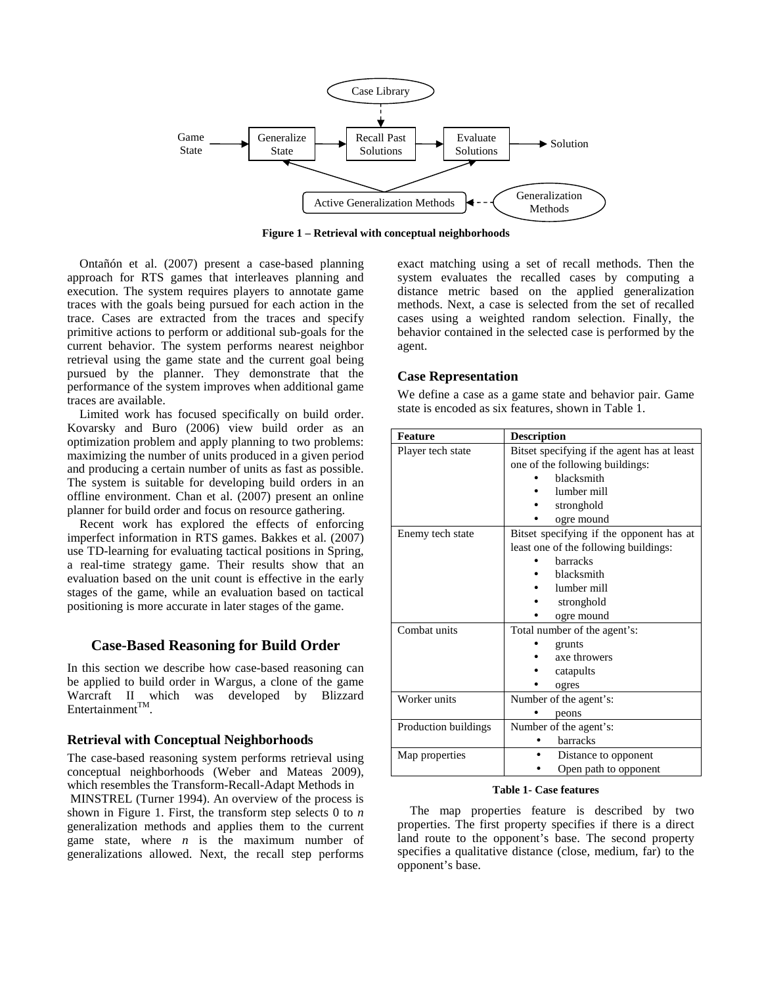

**Figure 1 – Retrieval with conceptual neighborhoods** 

 Ontañón et al. (2007) present a case-based planning approach for RTS games that interleaves planning and execution. The system requires players to annotate game traces with the goals being pursued for each action in the trace. Cases are extracted from the traces and specify primitive actions to perform or additional sub-goals for the current behavior. The system performs nearest neighbor retrieval using the game state and the current goal being pursued by the planner. They demonstrate that the performance of the system improves when additional game traces are available.

 Limited work has focused specifically on build order. Kovarsky and Buro (2006) view build order as an optimization problem and apply planning to two problems: maximizing the number of units produced in a given period and producing a certain number of units as fast as possible. The system is suitable for developing build orders in an offline environment. Chan et al. (2007) present an online planner for build order and focus on resource gathering.

 Recent work has explored the effects of enforcing imperfect information in RTS games. Bakkes et al. (2007) use TD-learning for evaluating tactical positions in Spring, a real-time strategy game. Their results show that an evaluation based on the unit count is effective in the early stages of the game, while an evaluation based on tactical positioning is more accurate in later stages of the game.

## **Case-Based Reasoning for Build Order**

In this section we describe how case-based reasoning can be applied to build order in Wargus, a clone of the game Warcraft II which was developed by Blizzard Entertainment $^{TM}$ .

## **Retrieval with Conceptual Neighborhoods**

The case-based reasoning system performs retrieval using conceptual neighborhoods (Weber and Mateas 2009), which resembles the Transform-Recall-Adapt Methods in MINSTREL (Turner 1994). An overview of the process is shown in Figure 1. First, the transform step selects 0 to *n* generalization methods and applies them to the current game state, where *n* is the maximum number of generalizations allowed. Next, the recall step performs

exact matching using a set of recall methods. Then the system evaluates the recalled cases by computing a distance metric based on the applied generalization methods. Next, a case is selected from the set of recalled cases using a weighted random selection. Finally, the behavior contained in the selected case is performed by the agent.

## **Case Representation**

We define a case as a game state and behavior pair. Game state is encoded as six features, shown in Table 1.

| <b>Feature</b>       | <b>Description</b>                          |  |  |  |
|----------------------|---------------------------------------------|--|--|--|
| Player tech state    | Bitset specifying if the agent has at least |  |  |  |
|                      | one of the following buildings:             |  |  |  |
|                      | <b>blacksmith</b>                           |  |  |  |
|                      | lumber mill                                 |  |  |  |
|                      | stronghold                                  |  |  |  |
|                      | ogre mound                                  |  |  |  |
| Enemy tech state     | Bitset specifying if the opponent has at    |  |  |  |
|                      | least one of the following buildings:       |  |  |  |
|                      | <b>barracks</b>                             |  |  |  |
|                      | <b>blacksmith</b>                           |  |  |  |
|                      | lumber mill                                 |  |  |  |
|                      | stronghold                                  |  |  |  |
|                      | ogre mound                                  |  |  |  |
| Combat units         | Total number of the agent's:                |  |  |  |
|                      | grunts                                      |  |  |  |
|                      | axe throwers                                |  |  |  |
|                      | catapults                                   |  |  |  |
|                      | ogres                                       |  |  |  |
| Worker units         | Number of the agent's:                      |  |  |  |
|                      | peons                                       |  |  |  |
| Production buildings | Number of the agent's:                      |  |  |  |
|                      | harracks                                    |  |  |  |
| Map properties       | Distance to opponent                        |  |  |  |
|                      | Open path to opponent                       |  |  |  |

#### **Table 1- Case features**

 The map properties feature is described by two properties. The first property specifies if there is a direct land route to the opponent's base. The second property specifies a qualitative distance (close, medium, far) to the opponent's base.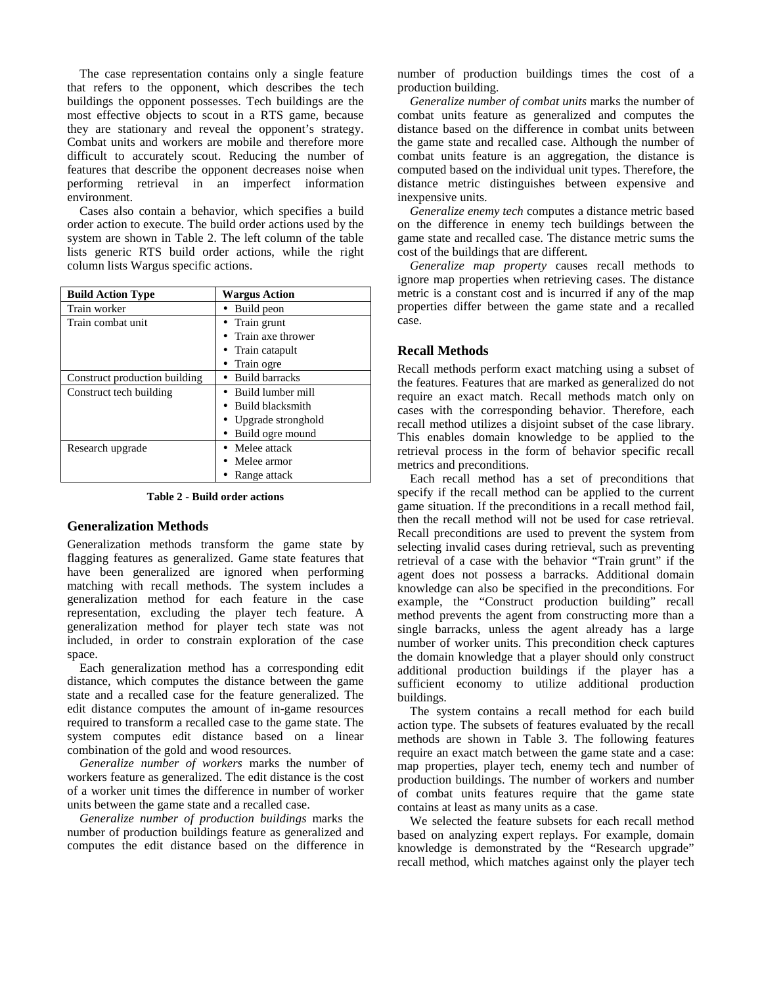The case representation contains only a single feature that refers to the opponent, which describes the tech buildings the opponent possesses. Tech buildings are the most effective objects to scout in a RTS game, because they are stationary and reveal the opponent's strategy. Combat units and workers are mobile and therefore more difficult to accurately scout. Reducing the number of features that describe the opponent decreases noise when performing retrieval in an imperfect information environment.

 Cases also contain a behavior, which specifies a build order action to execute. The build order actions used by the system are shown in Table 2. The left column of the table lists generic RTS build order actions, while the right column lists Wargus specific actions.

| <b>Build Action Type</b>      | <b>Wargus Action</b>    |
|-------------------------------|-------------------------|
| Train worker                  | • Build peon            |
| Train combat unit             | • Train grunt           |
|                               | Train axe thrower       |
|                               | • Train catapult        |
|                               | Train ogre              |
| Construct production building | <b>Build barracks</b>   |
| Construct tech building       | Build lumber mill       |
|                               | <b>Build blacksmith</b> |
|                               | • Upgrade stronghold    |
|                               | Build ogre mound        |
| Research upgrade              | Melee attack            |
|                               | Melee armor             |
|                               | Range attack            |

**Table 2 - Build order actions** 

#### **Generalization Methods**

Generalization methods transform the game state by flagging features as generalized. Game state features that have been generalized are ignored when performing matching with recall methods. The system includes a generalization method for each feature in the case representation, excluding the player tech feature. A generalization method for player tech state was not included, in order to constrain exploration of the case space.

 Each generalization method has a corresponding edit distance, which computes the distance between the game state and a recalled case for the feature generalized. The edit distance computes the amount of in-game resources required to transform a recalled case to the game state. The system computes edit distance based on a linear combination of the gold and wood resources.

*Generalize number of workers* marks the number of workers feature as generalized. The edit distance is the cost of a worker unit times the difference in number of worker units between the game state and a recalled case.

*Generalize number of production buildings* marks the number of production buildings feature as generalized and computes the edit distance based on the difference in number of production buildings times the cost of a production building.

*Generalize number of combat units* marks the number of combat units feature as generalized and computes the distance based on the difference in combat units between the game state and recalled case. Although the number of combat units feature is an aggregation, the distance is computed based on the individual unit types. Therefore, the distance metric distinguishes between expensive and inexpensive units.

*Generalize enemy tech* computes a distance metric based on the difference in enemy tech buildings between the game state and recalled case. The distance metric sums the cost of the buildings that are different.

*Generalize map property* causes recall methods to ignore map properties when retrieving cases. The distance metric is a constant cost and is incurred if any of the map properties differ between the game state and a recalled case.

## **Recall Methods**

Recall methods perform exact matching using a subset of the features. Features that are marked as generalized do not require an exact match. Recall methods match only on cases with the corresponding behavior. Therefore, each recall method utilizes a disjoint subset of the case library. This enables domain knowledge to be applied to the retrieval process in the form of behavior specific recall metrics and preconditions.

 Each recall method has a set of preconditions that specify if the recall method can be applied to the current game situation. If the preconditions in a recall method fail, then the recall method will not be used for case retrieval. Recall preconditions are used to prevent the system from selecting invalid cases during retrieval, such as preventing retrieval of a case with the behavior "Train grunt" if the agent does not possess a barracks. Additional domain knowledge can also be specified in the preconditions. For example, the "Construct production building" recall method prevents the agent from constructing more than a single barracks, unless the agent already has a large number of worker units. This precondition check captures the domain knowledge that a player should only construct additional production buildings if the player has a sufficient economy to utilize additional production buildings.

 The system contains a recall method for each build action type. The subsets of features evaluated by the recall methods are shown in Table 3. The following features require an exact match between the game state and a case: map properties, player tech, enemy tech and number of production buildings. The number of workers and number of combat units features require that the game state contains at least as many units as a case.

 We selected the feature subsets for each recall method based on analyzing expert replays. For example, domain knowledge is demonstrated by the "Research upgrade" recall method, which matches against only the player tech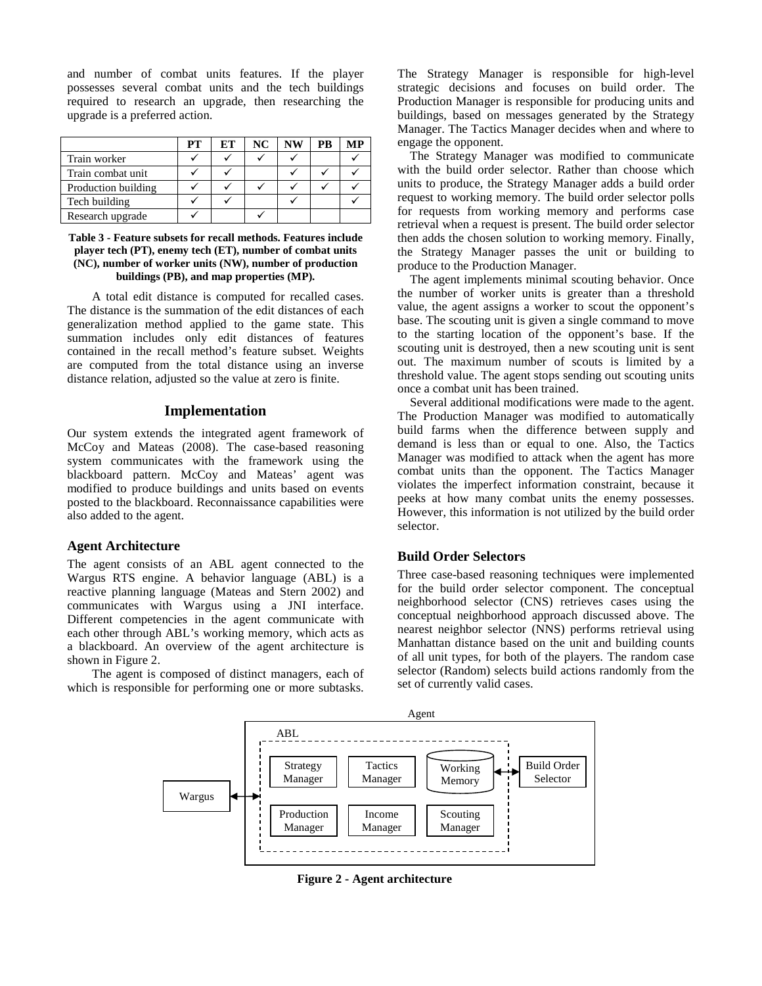and number of combat units features. If the player possesses several combat units and the tech buildings required to research an upgrade, then researching the upgrade is a preferred action.

|                     | PТ | <b>ET</b> | NC | NW | PB | MР |
|---------------------|----|-----------|----|----|----|----|
| Train worker        |    |           |    |    |    |    |
| Train combat unit   |    |           |    |    |    |    |
| Production building |    |           |    |    |    |    |
| Tech building       |    |           |    |    |    |    |
| Research upgrade    |    |           |    |    |    |    |

#### **Table 3 - Feature subsets for recall methods. Features include player tech (PT), enemy tech (ET), number of combat units (NC), number of worker units (NW), number of production buildings (PB), and map properties (MP).**

 A total edit distance is computed for recalled cases. The distance is the summation of the edit distances of each generalization method applied to the game state. This summation includes only edit distances of features contained in the recall method's feature subset. Weights are computed from the total distance using an inverse distance relation, adjusted so the value at zero is finite.

## **Implementation**

Our system extends the integrated agent framework of McCoy and Mateas (2008). The case-based reasoning system communicates with the framework using the blackboard pattern. McCoy and Mateas' agent was modified to produce buildings and units based on events posted to the blackboard. Reconnaissance capabilities were also added to the agent.

## **Agent Architecture**

The agent consists of an ABL agent connected to the Wargus RTS engine. A behavior language (ABL) is a reactive planning language (Mateas and Stern 2002) and communicates with Wargus using a JNI interface. Different competencies in the agent communicate with each other through ABL's working memory, which acts as a blackboard. An overview of the agent architecture is shown in Figure 2.

 The agent is composed of distinct managers, each of which is responsible for performing one or more subtasks. The Strategy Manager is responsible for high-level strategic decisions and focuses on build order. The Production Manager is responsible for producing units and buildings, based on messages generated by the Strategy Manager. The Tactics Manager decides when and where to engage the opponent.

 The Strategy Manager was modified to communicate with the build order selector. Rather than choose which units to produce, the Strategy Manager adds a build order request to working memory. The build order selector polls for requests from working memory and performs case retrieval when a request is present. The build order selector then adds the chosen solution to working memory. Finally, the Strategy Manager passes the unit or building to produce to the Production Manager.

 The agent implements minimal scouting behavior. Once the number of worker units is greater than a threshold value, the agent assigns a worker to scout the opponent's base. The scouting unit is given a single command to move to the starting location of the opponent's base. If the scouting unit is destroyed, then a new scouting unit is sent out. The maximum number of scouts is limited by a threshold value. The agent stops sending out scouting units once a combat unit has been trained.

 Several additional modifications were made to the agent. The Production Manager was modified to automatically build farms when the difference between supply and demand is less than or equal to one. Also, the Tactics Manager was modified to attack when the agent has more combat units than the opponent. The Tactics Manager violates the imperfect information constraint, because it peeks at how many combat units the enemy possesses. However, this information is not utilized by the build order selector.

## **Build Order Selectors**

Three case-based reasoning techniques were implemented for the build order selector component. The conceptual neighborhood selector (CNS) retrieves cases using the conceptual neighborhood approach discussed above. The nearest neighbor selector (NNS) performs retrieval using Manhattan distance based on the unit and building counts of all unit types, for both of the players. The random case selector (Random) selects build actions randomly from the set of currently valid cases.



**Figure 2 - Agent architecture**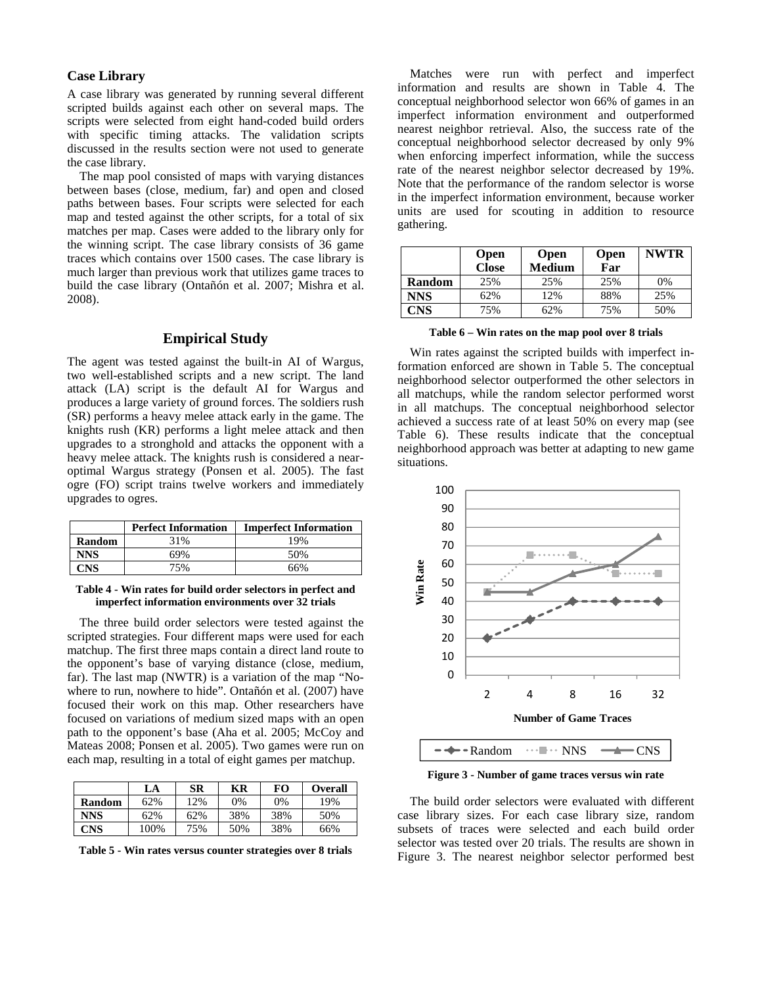# **Case Library**

A case library was generated by running several different scripted builds against each other on several maps. The scripts were selected from eight hand-coded build orders with specific timing attacks. The validation scripts discussed in the results section were not used to generate the case library.

 The map pool consisted of maps with varying distances between bases (close, medium, far) and open and closed paths between bases. Four scripts were selected for each map and tested against the other scripts, for a total of six matches per map. Cases were added to the library only for the winning script. The case library consists of 36 game traces which contains over 1500 cases. The case library is much larger than previous work that utilizes game traces to build the case library (Ontañón et al. 2007; Mishra et al. 2008).

# **Empirical Study**

The agent was tested against the built-in AI of Wargus, two well-established scripts and a new script. The land attack (LA) script is the default AI for Wargus and produces a large variety of ground forces. The soldiers rush (SR) performs a heavy melee attack early in the game. The knights rush (KR) performs a light melee attack and then upgrades to a stronghold and attacks the opponent with a heavy melee attack. The knights rush is considered a nearoptimal Wargus strategy (Ponsen et al. 2005). The fast ogre (FO) script trains twelve workers and immediately upgrades to ogres.

|               | <b>Perfect Information</b> | <b>Imperfect Information</b> |
|---------------|----------------------------|------------------------------|
| <b>Random</b> | 31%                        | 19%                          |
| NNS           | 69%                        | 50%                          |
|               | 75%                        | 66%                          |

#### **Table 4 - Win rates for build order selectors in perfect and imperfect information environments over 32 trials**

 The three build order selectors were tested against the scripted strategies. Four different maps were used for each matchup. The first three maps contain a direct land route to the opponent's base of varying distance (close, medium, far). The last map (NWTR) is a variation of the map "Nowhere to run, nowhere to hide". Ontañón et al. (2007) have focused their work on this map. Other researchers have focused on variations of medium sized maps with an open path to the opponent's base (Aha et al. 2005; McCoy and Mateas 2008; Ponsen et al. 2005). Two games were run on each map, resulting in a total of eight games per matchup.

|               | LA      | SR  | КR  | FО  | <b>Overall</b> |
|---------------|---------|-----|-----|-----|----------------|
| <b>Random</b> | 62%     | 12% | 0%  | 0%  | 19%            |
| <b>NNS</b>    | 62%     | 62% | 38% | 38% | 50%            |
| <b>CNS</b>    | $100\%$ | 75% | 50% | 38% | 66%            |

**Table 5 - Win rates versus counter strategies over 8 trials** 

 Matches were run with perfect and imperfect information and results are shown in Table 4. The conceptual neighborhood selector won 66% of games in an imperfect information environment and outperformed nearest neighbor retrieval. Also, the success rate of the conceptual neighborhood selector decreased by only 9% when enforcing imperfect information, while the success rate of the nearest neighbor selector decreased by 19%. Note that the performance of the random selector is worse in the imperfect information environment, because worker units are used for scouting in addition to resource gathering.

|               | <b>Open</b><br><b>Close</b> | <b>Open</b><br><b>Open</b><br>Far<br><b>Medium</b> |     | <b>NWTR</b> |
|---------------|-----------------------------|----------------------------------------------------|-----|-------------|
| <b>Random</b> | 25%                         | 25%                                                | 25% | 0%          |
| NNS           | 62%                         | 12%                                                | 88% | 25%         |
| CNS           | 75%                         | 62%                                                | 75% | 50%         |

**Table 6 – Win rates on the map pool over 8 trials** 

 Win rates against the scripted builds with imperfect information enforced are shown in Table 5. The conceptual neighborhood selector outperformed the other selectors in all matchups, while the random selector performed worst in all matchups. The conceptual neighborhood selector achieved a success rate of at least 50% on every map (see Table 6). These results indicate that the conceptual neighborhood approach was better at adapting to new game situations.



**Figure 3 - Number of game traces versus win rate** 

 The build order selectors were evaluated with different case library sizes. For each case library size, random subsets of traces were selected and each build order selector was tested over 20 trials. The results are shown in Figure 3. The nearest neighbor selector performed best